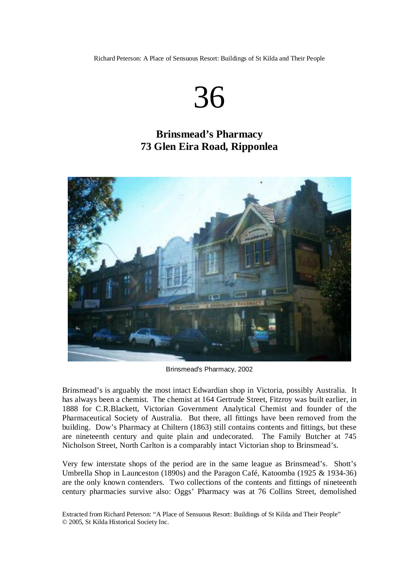Richard Peterson: A Place of Sensuous Resort: Buildings of St Kilda and Their People

## 36

## **Brinsmead's Pharmacy 73 Glen Eira Road, Ripponlea**



Brinsmead's Pharmacy, 2002

Brinsmead's is arguably the most intact Edwardian shop in Victoria, possibly Australia. It has always been a chemist. The chemist at 164 Gertrude Street, Fitzroy was built earlier, in 1888 for C.R.Blackett, Victorian Government Analytical Chemist and founder of the Pharmaceutical Society of Australia. But there, all fittings have been removed from the building. Dow's Pharmacy at Chiltern (1863) still contains contents and fittings, but these are nineteenth century and quite plain and undecorated. The Family Butcher at 745 Nicholson Street, North Carlton is a comparably intact Victorian shop to Brinsmead's.

Very few interstate shops of the period are in the same league as Brinsmead's. Shott's Umbrella Shop in Launceston (1890s) and the Paragon Café, Katoomba (1925 & 1934-36) are the only known contenders. Two collections of the contents and fittings of nineteenth century pharmacies survive also: Oggs' Pharmacy was at 76 Collins Street, demolished

Extracted from Richard Peterson: "A Place of Sensuous Resort: Buildings of St Kilda and Their People" © 2005, St Kilda Historical Society Inc.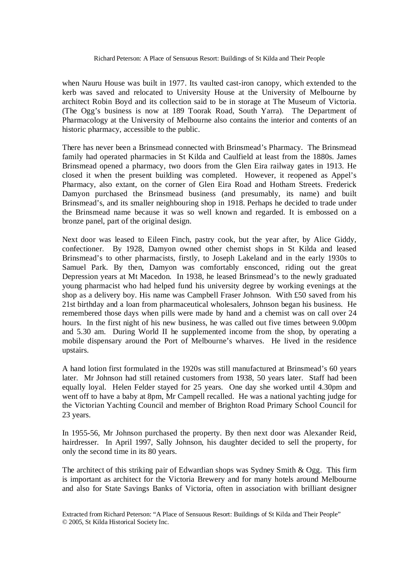when Nauru House was built in 1977. Its vaulted cast-iron canopy, which extended to the kerb was saved and relocated to University House at the University of Melbourne by architect Robin Boyd and its collection said to be in storage at The Museum of Victoria. (The Ogg's business is now at 189 Toorak Road, South Yarra). The Department of Pharmacology at the University of Melbourne also contains the interior and contents of an historic pharmacy, accessible to the public.

There has never been a Brinsmead connected with Brinsmead's Pharmacy. The Brinsmead family had operated pharmacies in St Kilda and Caulfield at least from the 1880s. James Brinsmead opened a pharmacy, two doors from the Glen Eira railway gates in 1913. He closed it when the present building was completed. However, it reopened as Appel's Pharmacy, also extant, on the corner of Glen Eira Road and Hotham Streets. Frederick Damyon purchased the Brinsmead business (and presumably, its name) and built Brinsmead's, and its smaller neighbouring shop in 1918. Perhaps he decided to trade under the Brinsmead name because it was so well known and regarded. It is embossed on a bronze panel, part of the original design.

Next door was leased to Eileen Finch, pastry cook, but the year after, by Alice Giddy, confectioner. By 1928, Damyon owned other chemist shops in St Kilda and leased Brinsmead's to other pharmacists, firstly, to Joseph Lakeland and in the early 1930s to Samuel Park. By then, Damyon was comfortably ensconced, riding out the great Depression years at Mt Macedon. In 1938, he leased Brinsmead's to the newly graduated young pharmacist who had helped fund his university degree by working evenings at the shop as a delivery boy. His name was Campbell Fraser Johnson. With £50 saved from his 21st birthday and a loan from pharmaceutical wholesalers, Johnson began his business. He remembered those days when pills were made by hand and a chemist was on call over 24 hours. In the first night of his new business, he was called out five times between 9.00pm and 5.30 am. During World II he supplemented income from the shop, by operating a mobile dispensary around the Port of Melbourne's wharves. He lived in the residence upstairs.

A hand lotion first formulated in the 1920s was still manufactured at Brinsmead's 60 years later. Mr Johnson had still retained customers from 1938, 50 years later. Staff had been equally loyal. Helen Felder stayed for 25 years. One day she worked until 4.30pm and went off to have a baby at 8pm, Mr Campell recalled. He was a national yachting judge for the Victorian Yachting Council and member of Brighton Road Primary School Council for 23 years.

In 1955-56, Mr Johnson purchased the property. By then next door was Alexander Reid, hairdresser. In April 1997, Sally Johnson, his daughter decided to sell the property, for only the second time in its 80 years.

The architect of this striking pair of Edwardian shops was Sydney Smith & Ogg. This firm is important as architect for the Victoria Brewery and for many hotels around Melbourne and also for State Savings Banks of Victoria, often in association with brilliant designer

Extracted from Richard Peterson: "A Place of Sensuous Resort: Buildings of St Kilda and Their People" © 2005, St Kilda Historical Society Inc.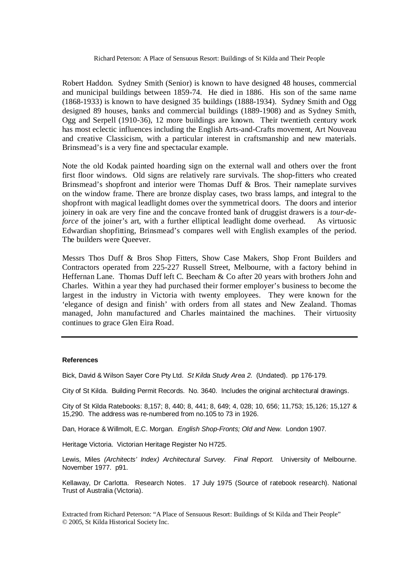Robert Haddon. Sydney Smith (Senior) is known to have designed 48 houses, commercial and municipal buildings between 1859-74. He died in 1886. His son of the same name (1868-1933) is known to have designed 35 buildings (1888-1934). Sydney Smith and Ogg designed 89 houses, banks and commercial buildings (1889-1908) and as Sydney Smith, Ogg and Serpell (1910-36), 12 more buildings are known. Their twentieth century work has most eclectic influences including the English Arts-and-Crafts movement, Art Nouveau and creative Classicism, with a particular interest in craftsmanship and new materials. Brinsmead's is a very fine and spectacular example.

Note the old Kodak painted hoarding sign on the external wall and others over the front first floor windows. Old signs are relatively rare survivals. The shop-fitters who created Brinsmead's shopfront and interior were Thomas Duff & Bros. Their nameplate survives on the window frame. There are bronze display cases, two brass lamps, and integral to the shopfront with magical leadlight domes over the symmetrical doors. The doors and interior joinery in oak are very fine and the concave fronted bank of druggist drawers is a *tour-deforce* of the joiner's art, with a further elliptical leadlight dome overhead. As virtuosic Edwardian shopfitting, Brinsmead's compares well with English examples of the period. The builders were Queever.

Messrs Thos Duff & Bros Shop Fitters, Show Case Makers, Shop Front Builders and Contractors operated from 225-227 Russell Street, Melbourne, with a factory behind in Heffernan Lane. Thomas Duff left C. Beecham & Co after 20 years with brothers John and Charles. Within a year they had purchased their former employer's business to become the largest in the industry in Victoria with twenty employees. They were known for the 'elegance of design and finish' with orders from all states and New Zealand. Thomas managed, John manufactured and Charles maintained the machines. Their virtuosity continues to grace Glen Eira Road.

## **References**

Bick, David & Wilson Sayer Core Pty Ltd. *St Kilda Study Area 2.* (Undated). pp 176-179.

City of St Kilda. Building Permit Records. No. 3640. Includes the original architectural drawings.

City of St Kilda Ratebooks: 8,157; 8, 440; 8, 441; 8, 649; 4, 028; 10, 656; 11,753; 15,126; 15,127 & 15,290. The address was re-numbered from no.105 to 73 in 1926.

Dan, Horace & Willmolt, E.C. Morgan. *English Shop-Fronts; Old and New.* London 1907.

Heritage Victoria. Victorian Heritage Register No H725.

Lewis, Miles *(Architects' Index) Architectural Survey. Final Report.* University of Melbourne. November 1977. p91.

Kellaway, Dr Carlotta. Research Notes. 17 July 1975 (Source of ratebook research). National Trust of Australia (Victoria).

Extracted from Richard Peterson: "A Place of Sensuous Resort: Buildings of St Kilda and Their People" © 2005, St Kilda Historical Society Inc.